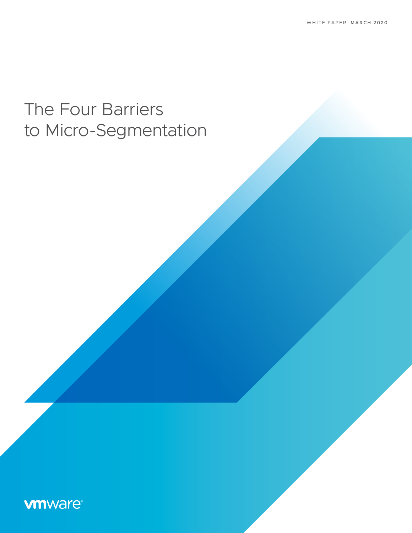# The Four Barriers to Micro-Segmentation

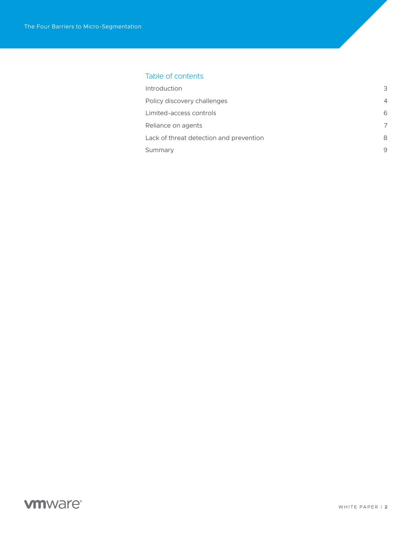### Table of contents

| Introduction                            | 3 |
|-----------------------------------------|---|
| Policy discovery challenges             | 4 |
| Limited-access controls                 | 6 |
| Reliance on agents                      | 7 |
| Lack of threat detection and prevention | 8 |
| Summary                                 | 9 |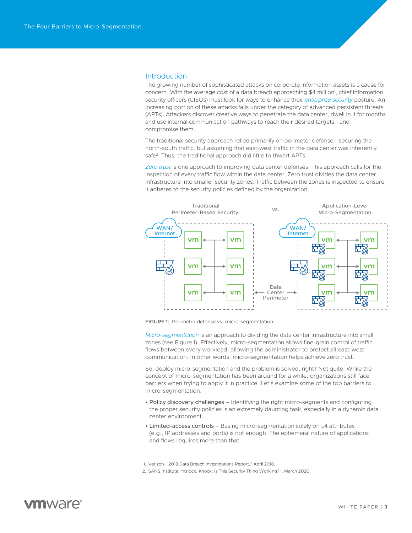#### <span id="page-2-0"></span>**Introduction**

The growing number of sophisticated attacks on corporate information assets is a cause for concern. With the average cost of a data breach approaching \$4 million<sup>1</sup>, chief information security officers (CISOs) must look for ways to enhance their *[enterprise security](https://www.vmware.com/security.html)* posture. An increasing portion of these attacks falls under the category of advanced persistent threats (APTs). Attackers discover creative ways to penetrate the data center, dwell in it for months and use internal communication pathways to reach their desired targets—and compromise them.

The traditional security approach relied primarily on perimeter defense—securing the north-south traffic, but assuming that east-west traffic in the data center was inherently safe<sup>2</sup>. Thus, the traditional approach did little to thwart APTs.

*[Zero trust](https://www.vmware.com/solutions/micro-segmentation.html)* is one approach to improving data center defenses. This approach calls for the inspection of every traffic flow within the data center. Zero trust divides the data center infrastructure into smaller security zones. Traffic between the zones is inspected to ensure it adheres to the security policies defined by the organization.



FIGURE 1: Perimeter defense vs. micro-segmentation.

*[Micro-segmentation](https://www.vmware.com/solutions/micro-segmentation.html)* is an approach to dividing the data center infrastructure into small zones (see Figure 1). Effectively, micro-segmentation allows fine-grain control of traffic flows between every workload, allowing the administrator to protect all east-west communication. In other words, micro-segmentation helps achieve zero trust.

So, deploy micro-segmentation and the problem is solved, right? Not quite. While the concept of micro-segmentation has been around for a while, organizations still face barriers when trying to apply it in practice. Let's examine some of the top barriers to micro-segmentation:

- Policy discovery challenges Identifying the right micro-segments and configuring the proper security policies is an extremely daunting task, especially in a dynamic data center environment.
- Limited-access controls Basing micro-segmentation solely on L4 attributes (e.g., IP addresses and ports) is not enough. The ephemeral nature of applications and flows requires more than that.

<sup>1.</sup> Verizon. "2018 Data Breach Investigations Report." April 2018.

<sup>2.</sup> SANS Institute. "Knock, Knock: Is This Security Thing Working?". March 2020.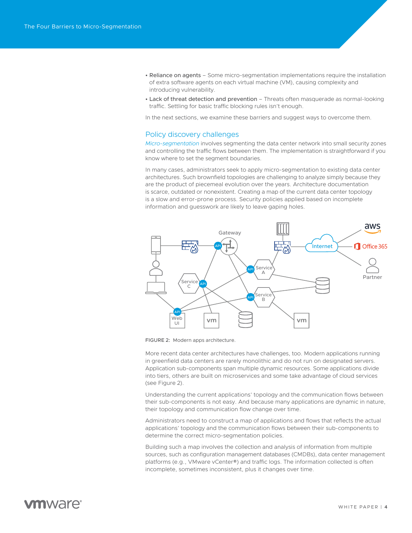- <span id="page-3-0"></span>• Reliance on agents – Some micro-segmentation implementations require the installation of extra software agents on each virtual machine (VM), causing complexity and introducing vulnerability.
- Lack of threat detection and prevention Threats often masquerade as normal-looking traffic. Settling for basic traffic blocking rules isn't enough.

In the next sections, we examine these barriers and suggest ways to overcome them.

### Policy discovery challenges

*[Micro-segmentation](https://www.vmware.com/solutions/micro-segmentation.html)* involves segmenting the data center network into small security zones and controlling the traffic flows between them. The implementation is straightforward if you know where to set the segment boundaries.

In many cases, administrators seek to apply micro-segmentation to existing data center architectures. Such brownfield topologies are challenging to analyze simply because they are the product of piecemeal evolution over the years. Architecture documentation is scarce, outdated or nonexistent. Creating a map of the current data center topology is a slow and error-prone process. Security policies applied based on incomplete information and guesswork are likely to leave gaping holes.



FIGURE 2: Modern apps architecture.

More recent data center architectures have challenges, too. Modern applications running in greenfield data centers are rarely monolithic and do not run on designated servers. Application sub-components span multiple dynamic resources. Some applications divide into tiers, others are built on microservices and some take advantage of cloud services (see Figure 2).

Understanding the current applications' topology and the communication flows between their sub-components is not easy. And because many applications are dynamic in nature, their topology and communication flow change over time.

Administrators need to construct a map of applications and flows that reflects the actual applications' topology and the communication flows between their sub-components to determine the correct micro-segmentation policies.

Building such a map involves the collection and analysis of information from multiple sources, such as configuration management databases (CMDBs), data center management platforms (e.g., VMware vCenter®) and traffic logs. The information collected is often incomplete, sometimes inconsistent, plus it changes over time.

# *mware*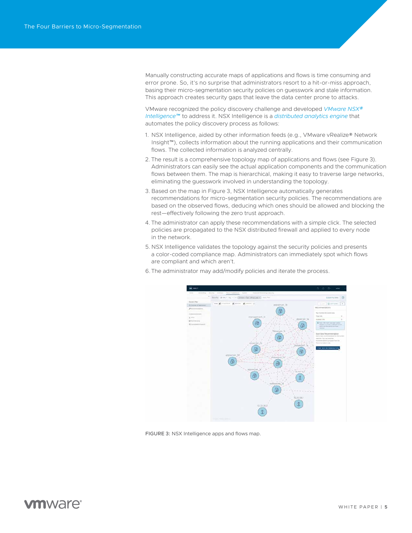Manually constructing accurate maps of applications and flows is time consuming and error prone. So, it's no surprise that administrators resort to a hit-or-miss approach, basing their micro-segmentation security policies on guesswork and stale information. This approach creates security gaps that leave the data center prone to attacks.

VMware recognized the policy discovery challenge and developed *[VMware NSX®](https://www.vmware.com/products/nsx-intelligence-analytics-engine.html) [Intelligence™](https://www.vmware.com/products/nsx-intelligence-analytics-engine.html)* to address it. NSX Intelligence is a *[distributed analytics engine](https://www.vmware.com/products/nsx-intelligence-analytics-engine.html)* that automates the policy discovery process as follows:

- 1. NSX Intelligence, aided by other information feeds (e.g., VMware vRealize® Network Insight™), collects information about the running applications and their communication flows. The collected information is analyzed centrally.
- 2. The result is a comprehensive topology map of applications and flows (see Figure 3). Administrators can easily see the actual application components and the communication flows between them. The map is hierarchical, making it easy to traverse large networks, eliminating the guesswork involved in understanding the topology.
- 3. Based on the map in Figure 3, NSX Intelligence automatically generates recommendations for micro-segmentation security policies. The recommendations are based on the observed flows, deducing which ones should be allowed and blocking the rest—effectively following the zero trust approach.
- 4. The administrator can apply these recommendations with a simple click. The selected policies are propagated to the NSX distributed firewall and applied to every node in the network.
- 5.NSX Intelligence validates the topology against the security policies and presents a color-coded compliance map. Administrators can immediately spot which flows are compliant and which aren't.
- 6.The administrator may add/modify policies and iterate the process.



FIGURE 3: NSX Intelligence apps and flows map.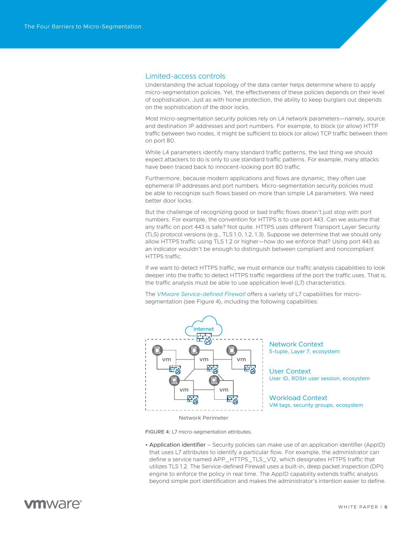### <span id="page-5-0"></span>Limited-access controls

Understanding the actual topology of the data center helps determine where to apply micro-segmentation policies. Yet, the effectiveness of these policies depends on their level of sophistication. Just as with home protection, the ability to keep burglars out depends on the sophistication of the door locks.

Most micro-segmentation security policies rely on L4 network parameters—namely, source and destination IP addresses and port numbers. For example, to block (or allow) HTTP traffic between two nodes, it might be sufficient to block (or allow) TCP traffic between them on port 80.

While L4 parameters identify many standard traffic patterns, the last thing we should expect attackers to do is only to use standard traffic patterns. For example, many attacks have been traced back to innocent-looking port 80 traffic.

Furthermore, because modern applications and flows are dynamic, they often use ephemeral IP addresses and port numbers. Micro-segmentation security policies must be able to recognize such flows based on more than simple L4 parameters. We need better door locks.

But the challenge of recognizing good or bad traffic flows doesn't just stop with port numbers. For example, the convention for HTTPS is to use port 443. Can we assume that any traffic on port 443 is safe? Not quite. HTTPS uses different Transport Layer Security (TLS) protocol versions (e.g., TLS 1.0, 1.2, 1.3). Suppose we determine that we should only allow HTTPS traffic using TLS 1.2 or higher—how do we enforce that? Using port 443 as an indicator wouldn't be enough to distinguish between compliant and noncompliant HTTPS traffic.

If we want to detect HTTPS traffic, we must enhance our traffic analysis capabilities to look deeper into the traffic to detect HTTPS traffic regardless of the port the traffic uses. That is, the traffic analysis must be able to use application level (L7) characteristics.

The *[VMware Service-defined Firewall](https://www.vmware.com/security/internal-firewall.html)* offers a variety of L7 capabilities for microsegmentation (see Figure 4), including the following capabilities:



Network Context 5-tuple, Layer 7, ecosystem

User Context User ID, RDSH user session, ecosystem

Workload Context VM tags, security groups, ecosystem

Network Perimeter

FIGURE 4: L7 micro-segmentation attributes.

• Application identifier – Security policies can make use of an application identifier (AppID) that uses L7 attributes to identify a particular flow. For example, the administrator can define a service named APP\_HTTPS\_TLS\_V12, which designates HTTPS traffic that utilizes TLS 1.2. The Service-defined Firewall uses a built-in, deep packet inspection (DPI) engine to enforce the policy in real time. The AppID capability extends traffic analysis beyond simple port identification and makes the administrator's intention easier to define.

# mware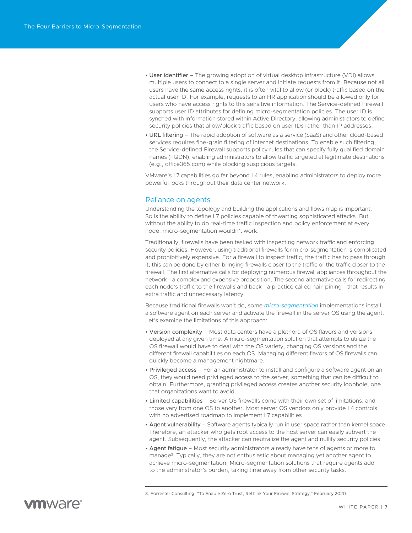- <span id="page-6-0"></span>• User identifier – The growing adoption of virtual desktop infrastructure (VDI) allows multiple users to connect to a single server and initiate requests from it. Because not all users have the same access rights, it is often vital to allow (or block) traffic based on the actual user ID. For example, requests to an HR application should be allowed only for users who have access rights to this sensitive information. The Service-defined Firewall supports user ID attributes for defining micro-segmentation policies. The user ID is synched with information stored within Active Directory, allowing administrators to define security policies that allow/block traffic based on user IDs rather than IP addresses.
- URL filtering The rapid adoption of software as a service (SaaS) and other cloud-based services requires fine-grain filtering of internet destinations. To enable such filtering, the Service-defined Firewall supports policy rules that can specify fully qualified domain names (FQDN), enabling administrators to allow traffic targeted at legitimate destinations (e.g., office365.com) while blocking suspicious targets.

VMware's L7 capabilities go far beyond L4 rules, enabling administrators to deploy more powerful locks throughout their data center network.

#### Reliance on agents

Understanding the topology and building the applications and flows map is important. So is the ability to define L7 policies capable of thwarting sophisticated attacks. But without the ability to do real-time traffic inspection and policy enforcement at every node, micro-segmentation wouldn't work.

Traditionally, firewalls have been tasked with inspecting network traffic and enforcing security policies. However, using traditional firewalls for micro-segmentation is complicated and prohibitively expensive. For a firewall to inspect traffic, the traffic has to pass through it; this can be done by either bringing firewalls closer to the traffic or the traffic closer to the firewall. The first alternative calls for deploying numerous firewall appliances throughout the network—a complex and expensive proposition. The second alternative calls for redirecting each node's traffic to the firewalls and back—a practice called hair-pining—that results in extra traffic and unnecessary latency.

Because traditional firewalls won't do, some *[micro-segmentation](https://www.vmware.com/solutions/micro-segmentation.html)* implementations install a software agent on each server and activate the firewall in the server OS using the agent. Let's examine the limitations of this approach:

- Version complexity Most data centers have a plethora of OS flavors and versions deployed at any given time. A micro-segmentation solution that attempts to utilize the OS firewall would have to deal with the OS variety, changing OS versions and the different firewall capabilities on each OS. Managing different flavors of OS firewalls can quickly become a management nightmare.
- Privileged access For an administrator to install and configure a software agent on an OS, they would need privileged access to the server, something that can be difficult to obtain. Furthermore, granting privileged access creates another security loophole, one that organizations want to avoid.
- Limited capabilities Server OS firewalls come with their own set of limitations, and those vary from one OS to another. Most server OS vendors only provide L4 controls with no advertised roadmap to implement L7 capabilities.
- Agent vulnerability Software agents typically run in user space rather than kernel space. Therefore, an attacker who gets root access to the host server can easily subvert the agent. Subsequently, the attacker can neutralize the agent and nullify security policies.
- Agent fatigue Most security administrators already have tens of agents or more to manage<sup>3</sup>. Typically, they are not enthusiastic about managing yet another agent to achieve micro-segmentation. Micro-segmentation solutions that require agents add to the administrator's burden, taking time away from other security tasks.



<sup>3.</sup> Forrester Consulting. "To Enable Zero Trust, Rethink Your Firewall Strategy." February 2020.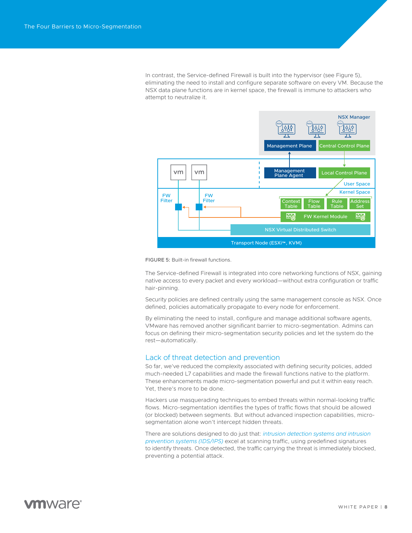<span id="page-7-0"></span>In contrast, the Service-defined Firewall is built into the hypervisor (see Figure 5), eliminating the need to install and configure separate software on every VM. Because the NSX data plane functions are in kernel space, the firewall is immune to attackers who attempt to neutralize it.



FIGURE 5: Built-in firewall functions.

The Service-defined Firewall is integrated into core networking functions of NSX, gaining native access to every packet and every workload—without extra configuration or traffic hair-pinning.

Security policies are defined centrally using the same management console as NSX. Once defined, policies automatically propagate to every node for enforcement.

By eliminating the need to install, configure and manage additional software agents, VMware has removed another significant barrier to micro-segmentation. Admins can focus on defining their micro-segmentation security policies and let the system do the rest—automatically.

### Lack of threat detection and prevention

So far, we've reduced the complexity associated with defining security policies, added much-needed L7 capabilities and made the firewall functions native to the platform. These enhancements made micro-segmentation powerful and put it within easy reach. Yet, there's more to be done.

Hackers use masquerading techniques to embed threats within normal-looking traffic flows. Micro-segmentation identifies the types of traffic flows that should be allowed (or blocked) between segments. But without advanced inspection capabilities, microsegmentation alone won't intercept hidden threats.

There are solutions designed to do just that: *[intrusion detection systems and intrusion](https://www.vmware.com/products/nsx-distributed-ids-ips.html)  [prevention systems \(IDS/IPS\)](https://www.vmware.com/products/nsx-distributed-ids-ips.html)* excel at scanning traffic, using predefined signatures to identify threats. Once detected, the traffic carrying the threat is immediately blocked, preventing a potential attack.

# **vm**ware<sup>®</sup>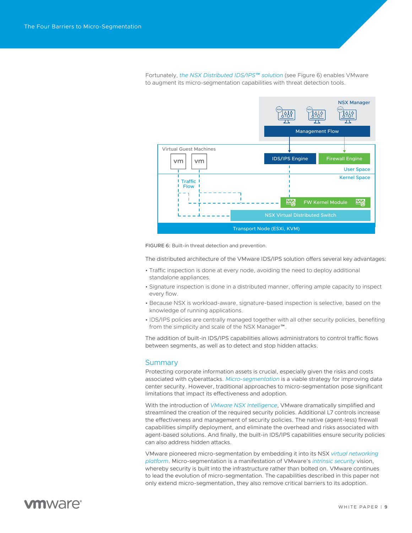<span id="page-8-0"></span>Fortunately, *[the NSX Distributed IDS/IPS™ solution](https://www.vmware.com/products/nsx-distributed-ids-ips.html)* (see Figure 6) enables VMware to augment its micro-segmentation capabilities with threat detection tools.



FIGURE 6: Built-in threat detection and prevention.

The distributed architecture of the VMware IDS/IPS solution offers several key advantages:

- Traffic inspection is done at every node, avoiding the need to deploy additional standalone appliances.
- Signature inspection is done in a distributed manner, offering ample capacity to inspect every flow.
- Because NSX is workload-aware, signature-based inspection is selective, based on the knowledge of running applications.
- IDS/IPS policies are centrally managed together with all other security policies, benefiting from the simplicity and scale of the NSX Manager™.

The addition of built-in IDS/IPS capabilities allows administrators to control traffic flows between segments, as well as to detect and stop hidden attacks.

#### **Summary**

Protecting corporate information assets is crucial, especially given the risks and costs associated with cyberattacks. *[Micro-segmentation](https://www.vmware.com/solutions/micro-segmentation.html)* is a viable strategy for improving data center security. However, traditional approaches to micro-segmentation pose significant limitations that impact its effectiveness and adoption.

With the introduction of *[VMware NSX Intelligence](https://www.vmware.com/products/nsx-intelligence-analytics-engine.html)*, VMware dramatically simplified and streamlined the creation of the required security policies. Additional L7 controls increase the effectiveness and management of security policies. The native (agent-less) firewall capabilities simplify deployment, and eliminate the overhead and risks associated with agent-based solutions. And finally, the built-in IDS/IPS capabilities ensure security policies can also address hidden attacks.

VMware pioneered micro-segmentation by embedding it into its NSX *[virtual networking](https://www.vmware.com/products/nsx.html)  [platform](https://www.vmware.com/products/nsx.html)*. Micro-segmentation is a manifestation of VMware's *[intrinsic security](https://www.vmware.com/security.html)* vision, whereby security is built into the infrastructure rather than bolted on. VMware continues to lead the evolution of micro-segmentation. The capabilities described in this paper not only extend micro-segmentation, they also remove critical barriers to its adoption.

# mware